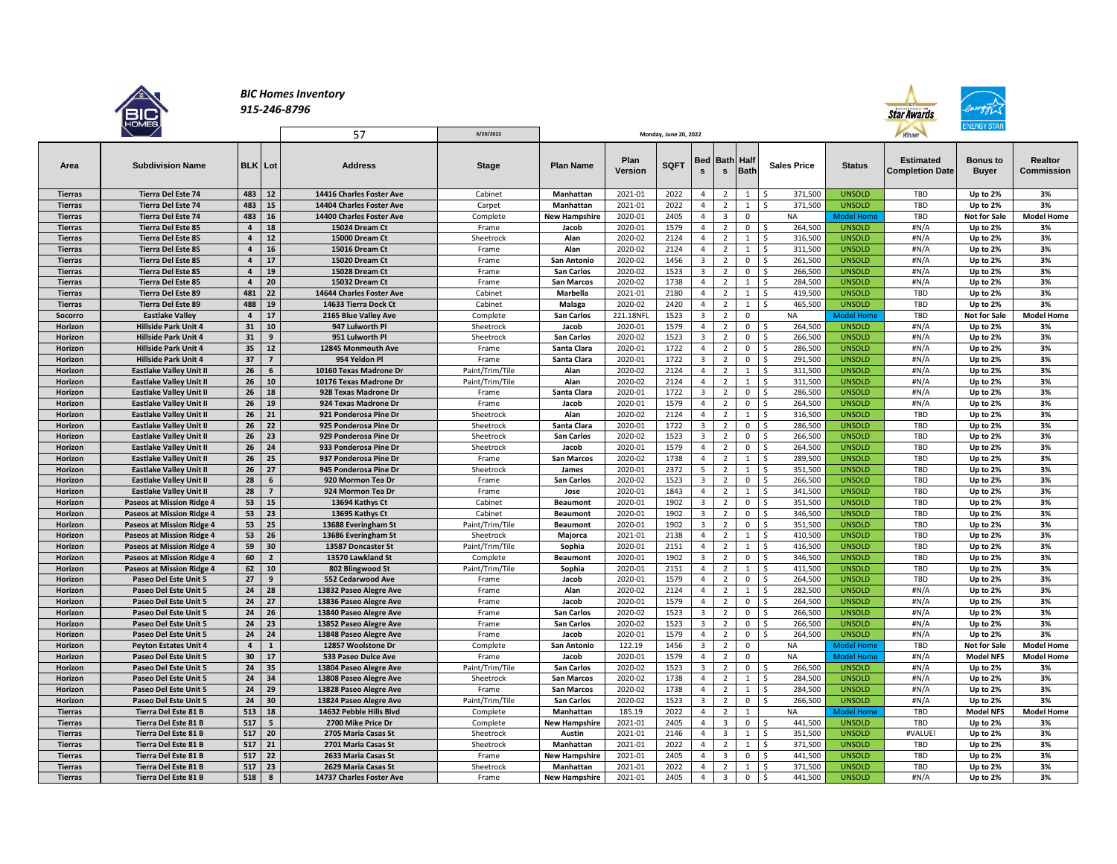

## *BIC Homes Inventory 915-246-8796*

57 **6/20/2022**



| Area           | <b>Subdivision Name</b>          | <b>BLK</b>              | Lot            |    | <b>Address</b>           | <b>Stage</b>    | <b>Plan Name</b>     | Plan<br>Version | <b>SQFT</b> | s                       | <b>Bed Bath</b><br>$\mathbf{s}$ | Half<br><b>Bath</b> | <b>Sales Price</b>             | <b>Status</b>     | <b>Estimated</b><br><b>Completion Date</b> | <b>Bonus to</b><br><b>Buyer</b> | <b>Realtor</b><br>Commission |
|----------------|----------------------------------|-------------------------|----------------|----|--------------------------|-----------------|----------------------|-----------------|-------------|-------------------------|---------------------------------|---------------------|--------------------------------|-------------------|--------------------------------------------|---------------------------------|------------------------------|
| <b>Tierras</b> | <b>Tierra Del Este 74</b>        | 483                     | $12$           |    | 14416 Charles Foster Ave | Cabinet         | Manhattan            | 2021-01         | 2022        | $\overline{4}$          | $\overline{2}$                  | $\mathbf{1}$        | 371,500<br>-Ś                  | <b>UNSOLD</b>     | TBD                                        | Up to 2%                        | 3%                           |
| <b>Tierras</b> | <b>Tierra Del Este 74</b>        | 483                     | ${\bf 15}$     |    | 14404 Charles Foster Ave | Carpet          | Manhattan            | 2021-01         | 2022        | $\overline{4}$          | $\overline{2}$                  | $\mathbf{1}$        | <sub>S</sub><br>371,500        | <b>UNSOLD</b>     | TBD                                        | Up to 2%                        | 3%                           |
| <b>Tierras</b> | <b>Tierra Del Este 74</b>        | 483                     |                | 16 | 14400 Charles Foster Ave | Complete        | <b>New Hampshire</b> | 2020-01         | 2405        | $\overline{4}$          | $\overline{\mathbf{3}}$         | $\mathsf 0$         | <b>NA</b>                      | <b>Model Home</b> | TBD                                        | <b>Not for Sale</b>             | <b>Model Home</b>            |
| <b>Tierras</b> | <b>Tierra Del Este 85</b>        | $\overline{4}$          |                | 18 | 15024 Dream Ct           | Frame           | Jacob                | 2020-01         | 1579        | $\overline{4}$          | $\overline{2}$                  | $\mathbf{0}$        | 264,500<br>-Ś                  | <b>UNSOLD</b>     | #N/A                                       | Up to 2%                        | 3%                           |
| <b>Tierras</b> | <b>Tierra Del Este 85</b>        | $\overline{4}$          | 12             |    | 15000 Dream Ct           | Sheetrock       | Alan                 | 2020-02         | 2124        | $\overline{4}$          | $\overline{2}$                  | $\mathbf{1}$        | <sup>S</sup><br>316,500        | <b>UNSOLD</b>     | #N/A                                       | Up to 2%                        | 3%                           |
| <b>Tierras</b> | <b>Tierra Del Este 85</b>        | $\overline{4}$          | 16             |    | 15016 Dream Ct           | Frame           | Alan                 | 2020-02         | 2124        | 4                       | $\overline{2}$                  | 1                   | -\$<br>311,500                 | <b>UNSOLD</b>     | #N/A                                       | Up to 2%                        | 3%                           |
| <b>Tierras</b> | <b>Tierra Del Este 85</b>        | $\overline{a}$          | 17             |    | 15020 Dream Ct           | Frame           | <b>San Antonio</b>   | 2020-02         | 1456        | $\overline{3}$          | $\overline{2}$                  | $\mathbf 0$         | <sup>S</sup><br>261,500        | <b>UNSOLD</b>     | #N/A                                       | Up to 2%                        | 3%                           |
| <b>Tierras</b> | <b>Tierra Del Este 85</b>        | $\overline{4}$          | 19             |    | 15028 Dream Ct           | Frame           | <b>San Carlos</b>    | 2020-02         | 1523        | $\overline{3}$          | $\overline{2}$                  | $\mathbf{0}$        | 266,500<br>-Ś                  | <b>UNSOLD</b>     | #N/A                                       | Up to 2%                        | 3%                           |
| <b>Tierras</b> | <b>Tierra Del Este 85</b>        | $\overline{4}$          | 20             |    | 15032 Dream Ct           | Frame           | <b>San Marcos</b>    | 2020-02         | 1738        | $\overline{4}$          | $\overline{2}$                  | 1                   | -\$<br>284,500                 | <b>UNSOLD</b>     | #N/A                                       | Up to 2%                        | 3%                           |
| <b>Tierras</b> | <b>Tierra Del Este 89</b>        | 481                     | 22             |    | 14644 Charles Foster Ave | Cabinet         | Marbella             | 2021-01         | 2180        | $\overline{4}$          | $\overline{2}$                  | $\mathbf{1}$        | 419,500<br>-Ś                  | <b>UNSOLD</b>     | TBD                                        | Up to 2%                        | 3%                           |
| <b>Tierras</b> | <b>Tierra Del Este 89</b>        | 488                     |                | 19 | 14633 Tierra Dock Ct     | Cabinet         | Malaga               | 2020-02         | 2420        | $\overline{4}$          | $\overline{2}$                  | $\mathbf{1}$        | <sup>S</sup><br>465,500        | <b>UNSOLD</b>     | TBD                                        | Up to 2%                        | 3%                           |
| Socorro        | <b>Eastlake Valley</b>           | $\overline{\mathbf{4}}$ | 17             |    | 2165 Blue Valley Ave     | Complete        | <b>San Carlos</b>    | 221.18NF        | 1523        | $\overline{\mathbf{3}}$ | $\overline{2}$                  | $\mathsf 0$         | <b>NA</b>                      | <b>Model Home</b> | TBD                                        | <b>Not for Sale</b>             | <b>Model Home</b>            |
| Horizon        | <b>Hillside Park Unit 4</b>      | 31                      | 10             |    | 947 Lulworth Pl          | Sheetrock       | Jacob                | 2020-01         | 1579        | $\overline{4}$          | $\overline{2}$                  | $\mathbf{0}$        | -Ś<br>264,500                  | <b>UNSOLD</b>     | #N/A                                       | Up to 2%                        | 3%                           |
| Horizon        | <b>Hillside Park Unit 4</b>      | 31                      | 9              |    | 951 Lulworth Pl          | Sheetrock       | <b>San Carlos</b>    | 2020-02         | 1523        | $\overline{3}$          | $\overline{2}$                  | $\mathbf{0}$        | <sup>S</sup><br>266,500        | <b>UNSOLD</b>     | #N/A                                       | Up to 2%                        | 3%                           |
| Horizon        | <b>Hillside Park Unit 4</b>      | 35                      |                | 12 | 12845 Monmouth Ave       | Frame           | Santa Clara          | 2020-01         | 1722        | $\overline{4}$          | $\overline{2}$                  | $\mathbf 0$         | 286,500<br>-Ś                  | <b>UNSOLD</b>     | #N/A                                       | Up to 2%                        | 3%                           |
| Horizon        | <b>Hillside Park Unit 4</b>      | 37                      | $\overline{7}$ |    | 954 Yeldon Pl            | Frame           | Santa Clara          | 2020-01         | 1722        | $\overline{3}$          | $\overline{2}$                  | $\mathbf{0}$        | - Ś<br>291,500                 | <b>UNSOLD</b>     | #N/A                                       | Up to 2%                        | 3%                           |
| Horizon        | <b>Eastlake Valley Unit II</b>   | 26                      | 6              |    | 10160 Texas Madrone Dr   | Paint/Trim/Tile | Alan                 | 2020-02         | 2124        | $\overline{4}$          | $\overline{2}$                  | $\mathbf{1}$        | 311,500<br>-Ś                  | <b>UNSOLD</b>     | #N/A                                       | Up to 2%                        | 3%                           |
| Horizon        | <b>Eastlake Valley Unit II</b>   | 26                      |                | 10 | 10176 Texas Madrone Dr   | Paint/Trim/Tile | Alan                 | 2020-02         | 2124        | 4                       | $\overline{2}$                  | 1                   | s.<br>311,500                  | <b>UNSOLD</b>     | #N/A                                       | Up to 2%                        | 3%                           |
| Horizon        | <b>Eastlake Valley Unit II</b>   | 26                      | 18             |    | 928 Texas Madrone Dr     | Frame           | Santa Clara          | 2020-01         | 1722        | $\overline{3}$          | $\overline{2}$                  | $\overline{0}$      | -Ś<br>286,500                  | <b>UNSOLD</b>     | #N/A                                       | Up to 2%                        | 3%                           |
| Horizon        | <b>Eastlake Valley Unit II</b>   | 26                      |                | 19 | 924 Texas Madrone Dr     | Frame           | Jacob                | 2020-01         | 1579        | $\overline{4}$          | $\overline{2}$                  | $\mathbf 0$         | S.<br>264,500                  | <b>UNSOLD</b>     | #N/A                                       | Up to 2%                        | 3%                           |
| Horizon        | <b>Eastlake Valley Unit II</b>   | 26                      | 21             |    | 921 Ponderosa Pine Dr    | Sheetrock       | Alan                 | 2020-02         | 2124        | $\overline{4}$          | $\overline{2}$                  | $\mathbf{1}$        | 316,500<br><sup>S</sup>        | <b>UNSOLD</b>     | TBD                                        | Up to 2%                        | 3%                           |
| Horizon        | <b>Eastlake Valley Unit II</b>   | 26                      | 22             |    | 925 Ponderosa Pine Dr    | Sheetrock       | Santa Clara          | 2020-01         | 1722        | $\overline{3}$          | $\overline{2}$                  | $\mathbf{0}$        | 286,500<br>-Ś                  | <b>UNSOLD</b>     | TBD                                        | Up to 2%                        | 3%                           |
| Horizon        | <b>Eastlake Valley Unit II</b>   | 26                      | 23             |    | 929 Ponderosa Pine Dr    | Sheetrock       | <b>San Carlos</b>    | 2020-02         | 1523        | $\overline{3}$          | $\overline{2}$                  | $\overline{0}$      | s.<br>266,500                  | <b>UNSOLD</b>     | TBD                                        | Up to 2%                        | 3%                           |
| Horizon        | <b>Eastlake Valley Unit II</b>   | 26                      | 24             |    | 933 Ponderosa Pine Dr    | Sheetrock       | Jacob                | 2020-01         | 1579        | $\overline{4}$          | $\overline{2}$                  | $\mathbf{0}$        | S.<br>264,500                  | <b>UNSOLD</b>     | TBD                                        | Up to 2%                        | 3%                           |
| Horizon        | <b>Eastlake Valley Unit II</b>   | 26                      |                | 25 | 937 Ponderosa Pine Dr    | Frame           | <b>San Marcos</b>    | 2020-02         | 1738        | $\overline{4}$          | $\overline{2}$                  | 1                   | -\$<br>289,500                 | <b>UNSOLD</b>     | TBD                                        | Up to 2%                        | 3%                           |
| Horizon        | <b>Eastlake Valley Unit II</b>   | 26                      | 27             |    | 945 Ponderosa Pine Dr    | Sheetrock       | James                | 2020-01         | 2372        | 5                       | $\overline{2}$                  | 1                   | 351,500<br>-\$                 | <b>UNSOLD</b>     | TBD                                        | Up to 2%                        | 3%                           |
| Horizon        | <b>Eastlake Valley Unit II</b>   | 28                      |                | 6  | 920 Mormon Tea Dr        | Frame           | <b>San Carlos</b>    | 2020-02         | 1523        | $\overline{3}$          | $\overline{2}$                  | $\mathbf{0}$        | $\ddot{\mathsf{s}}$<br>266,500 | <b>UNSOLD</b>     | TBD                                        | Up to 2%                        | 3%                           |
| Horizon        | <b>Eastlake Valley Unit II</b>   | 28                      | $\overline{7}$ |    | 924 Mormon Tea Dr        | Frame           | Jose                 | 2020-01         | 1843        | $\overline{4}$          | $\overline{2}$                  | $\mathbf{1}$        | <sup>S</sup><br>341,500        | <b>UNSOLD</b>     | TBD                                        | Up to 2%                        | 3%                           |
| Horizon        | Paseos at Mission Ridge 4        | 53                      |                | 15 | 13694 Kathys Ct          | Cabinet         | <b>Beaumont</b>      | 2020-01         | 1902        | $\overline{3}$          | $\overline{2}$                  | $\mathbf 0$         | S.<br>351,500                  | <b>UNSOLD</b>     | TBD                                        | Up to 2%                        | 3%                           |
| Horizon        | <b>Paseos at Mission Ridge 4</b> | 53                      | 23             |    | 13695 Kathys Ct          | Cabinet         | <b>Beaumont</b>      | 2020-01         | 1902        | $\overline{3}$          | $\overline{2}$                  | $\mathbf 0$         | 346,500<br>-\$                 | <b>UNSOLD</b>     | TBD                                        | Up to 2%                        | 3%                           |
| Horizon        | Paseos at Mission Ridge 4        | 53                      | 25             |    | 13688 Everingham St      | Paint/Trim/Tile | <b>Beaumont</b>      | 2020-01         | 1902        | $\overline{\mathbf{3}}$ | $\overline{2}$                  | $\mathbf{0}$        | 351,500<br>-\$                 | <b>UNSOLD</b>     | TBD                                        | Up to 2%                        | 3%                           |
| Horizon        | <b>Paseos at Mission Ridge 4</b> | 53                      | 26             |    | 13686 Everingham St      | Sheetrock       | Majorca              | 2021-01         | 2138        | $\overline{a}$          | $\overline{2}$                  | $\mathbf{1}$        | S.<br>410,500                  | <b>UNSOLD</b>     | TBD                                        | Up to 2%                        | 3%                           |
| Horizon        | <b>Paseos at Mission Ridge 4</b> | 59                      | 30             |    | 13587 Doncaster St       | Paint/Trim/Tile | Sophia               | 2020-01         | 2151        | $\overline{4}$          | $\overline{2}$                  | $\mathbf{1}$        | <sup>S</sup><br>416,500        | <b>UNSOLD</b>     | TBD                                        | Up to 2%                        | 3%                           |
| Horizon        | Paseos at Mission Ridge 4        | 60                      | $\overline{2}$ |    | 13570 Lawkland St        | Complete        | <b>Beaumont</b>      | 2020-01         | 1902        | $\overline{3}$          | $\overline{2}$                  | $\overline{0}$      | -Ś<br>346,500                  | <b>UNSOLD</b>     | <b>TBD</b>                                 | Up to 2%                        | 3%                           |
| Horizon        | <b>Paseos at Mission Ridge 4</b> | 62                      | 10             |    | 802 Blingwood St         | Paint/Trim/Tile | Sophia               | 2020-01         | 2151        | $\overline{4}$          | $\overline{2}$                  | $\mathbf{1}$        | 411,500<br>-Ś                  | <b>UNSOLD</b>     | TBD                                        | Up to 2%                        | 3%                           |
| Horizon        | Paseo Del Este Unit 5            | 27                      |                | 9  | 552 Cedarwood Ave        | Frame           | Jacob                | 2020-01         | 1579        | $\overline{4}$          | $\overline{2}$                  | $\overline{0}$      | S.<br>264,500                  | <b>UNSOLD</b>     | TBD                                        | Up to 2%                        | 3%                           |
| Horizon        | Paseo Del Este Unit 5            | 24                      | 28             |    | 13832 Paseo Alegre Ave   | Frame           | Alan                 | 2020-02         | 2124        | 4                       | $\overline{2}$                  | $\mathbf{1}$        | S.<br>282,500                  | <b>UNSOLD</b>     | #N/A                                       | Up to 2%                        | 3%                           |
| Horizon        | Paseo Del Este Unit 5            | 24                      | 27             |    | 13836 Paseo Alegre Ave   | Frame           | Jacob                | 2020-01         | 1579        | $\overline{4}$          | $\overline{2}$                  | $\mathbf 0$         | S.<br>264,500                  | <b>UNSOLD</b>     | #N/A                                       | Up to 2%                        | 3%                           |
| Horizon        | Paseo Del Este Unit 5            | 24                      | 26             |    | 13840 Paseo Alegre Ave   | Frame           | <b>San Carlos</b>    | 2020-02         | 1523        | $\overline{3}$          | $\overline{2}$                  | $\mathbf 0$         | <sup>S</sup><br>266,500        | <b>UNSOLD</b>     | #N/A                                       | Up to 2%                        | 3%                           |
| Horizon        | Paseo Del Este Unit 5            | 24                      | 23             |    | 13852 Paseo Alegre Ave   | Frame           | <b>San Carlos</b>    | 2020-02         | 1523        | $\overline{\mathbf{3}}$ | $\overline{2}$                  | $\mathbf{0}$        | 266,500<br>-Ś                  | <b>UNSOLD</b>     | #N/A                                       | Up to 2%                        | 3%                           |
| Horizon        | Paseo Del Este Unit 5            | 24                      | 24             |    | 13848 Paseo Alegre Ave   | Frame           | Jacob                | 2020-01         | 1579        | $\overline{4}$          | $\overline{2}$                  | $\mathbf 0$         | <sup>S</sup><br>264,500        | <b>UNSOLD</b>     | #N/A                                       | Up to 2%                        | 3%                           |
| Horizon        | <b>Peyton Estates Unit 4</b>     | $\overline{4}$          | $\mathbf{1}$   |    | 12857 Woolstone Dr       | Complete        | <b>San Antonio</b>   | 122.19          | 1456        | $\mathbf{3}$            | $\overline{2}$                  | $\mathbf 0$         | <b>NA</b>                      | Model Home        | TBD                                        | <b>Not for Sale</b>             | <b>Model Home</b>            |
| Horizon        | Paseo Del Este Unit 5            | 30                      | 17             |    | 533 Paseo Dulce Ave      | Frame           | Jacob                | 2020-01         | 1579        | $\overline{4}$          | $\overline{2}$                  | $\mathbf 0$         | NA                             | <b>Model Home</b> | #N/A                                       | <b>Model NFS</b>                | <b>Model Home</b>            |
| Horizon        | Paseo Del Este Unit 5            | 24                      | 35             |    | 13804 Paseo Alegre Ave   | Paint/Trim/Tile | <b>San Carlos</b>    | 2020-02         | 1523        | $\overline{3}$          | $\overline{2}$                  | $\mathbf 0$         | -Ś<br>266,500                  | <b>UNSOLD</b>     | #N/A                                       | Up to 2%                        | 3%                           |
| Horizon        | Paseo Del Este Unit 5            | 24                      | 34             |    | 13808 Paseo Alegre Ave   | Sheetrock       | <b>San Marcos</b>    | 2020-02         | 1738        | $\overline{4}$          | $\overline{2}$                  | $\mathbf{1}$        | S.<br>284,500                  | <b>UNSOLD</b>     | #N/A                                       | Up to 2%                        | 3%                           |
| Horizon        | Paseo Del Este Unit 5            | 24                      | 29             |    | 13828 Paseo Alegre Ave   | Frame           | <b>San Marcos</b>    | 2020-02         | 1738        | $\overline{4}$          | $\overline{2}$                  | $\mathbf{1}$        | 284,500<br>-Ś                  | <b>UNSOLD</b>     | #N/A                                       | Up to 2%                        | 3%                           |
| Horizon        | Paseo Del Este Unit 5            | 24                      |                | 30 | 13824 Paseo Alegre Ave   | Paint/Trim/Tile | <b>San Carlos</b>    | 2020-02         | 1523        | $\overline{3}$          | $\overline{2}$                  | $\mathbf{0}$        | 266,500<br>-Ś                  | <b>UNSOLD</b>     | #N/A                                       | Up to 2%                        | 3%                           |
| <b>Tierras</b> | <b>Tierra Del Este 81 B</b>      | 513                     | 18             |    | 14632 Pebble Hills Blvd  | Complete        | Manhattan            | 185.19          | 2022        | $\overline{4}$          | $\overline{2}$                  | $\mathbf{1}$        | <b>NA</b>                      | <b>Model Home</b> | <b>TBD</b>                                 | <b>Model NFS</b>                | <b>Model Home</b>            |
| <b>Tierras</b> | Tierra Del Este 81 B             | 517                     | 5              |    | 2700 Mike Price Dr       | Complete        | <b>New Hampshire</b> | 2021-01         | 2405        | 4                       | $\overline{\mathbf{3}}$         | $\mathbf{0}$        | 441,500<br>-S                  | <b>UNSOLD</b>     | TBD                                        | Up to 2%                        | 3%                           |
| <b>Tierras</b> | Tierra Del Este 81 B             | 517                     | 20             |    | 2705 Maria Casas St      | Sheetrock       | Austin               | 2021-01         | 2146        | $\overline{4}$          | $\overline{\mathbf{3}}$         | 1                   | <b>S</b><br>351,500            | <b>UNSOLD</b>     | #VALUE!                                    | Up to 2%                        | 3%                           |
| <b>Tierras</b> | <b>Tierra Del Este 81 B</b>      | 517                     | 21             |    | 2701 Maria Casas St      | Sheetrock       | Manhattan            | 2021-01         | 2022        | $\overline{4}$          | $\overline{2}$                  | $\mathbf{1}$        | 371,500<br>-\$                 | <b>UNSOLD</b>     | TBD                                        | Up to 2%                        | 3%                           |
| <b>Tierras</b> | Tierra Del Este 81 B             | 517                     | 22             |    | 2633 Maria Casas St      | Frame           | <b>New Hampshire</b> | 2021-01         | 2405        | $\overline{4}$          | $\overline{\mathbf{3}}$         | $\mathbf{0}$        | S.<br>441,500                  | <b>UNSOLD</b>     | TBD                                        | Up to 2%                        | 3%                           |
| <b>Tierras</b> | <b>Tierra Del Este 81 B</b>      | 517                     | 23             |    | 2629 Maria Casas St      | Sheetrock       | Manhattan            | 2021-01         | 2022        | $\overline{a}$          | $\overline{2}$                  | $\mathbf{1}$        | <b>S</b><br>371,500            | <b>UNSOLD</b>     | TBD                                        | Up to 2%                        | 3%                           |
| <b>Tierras</b> | Tierra Del Este 81 B             | 518                     | 8              |    | 14737 Charles Foster Ave | Frame           | <b>New Hampshire</b> | 2021-01         | 2405        | $\overline{4}$          | $\overline{3}$                  | $\mathbf{0}$        | <b>S</b><br>441.500            | <b>UNSOLD</b>     | #N/A                                       | Up to 2%                        | 3%                           |

**Monday, June 20, 2022**